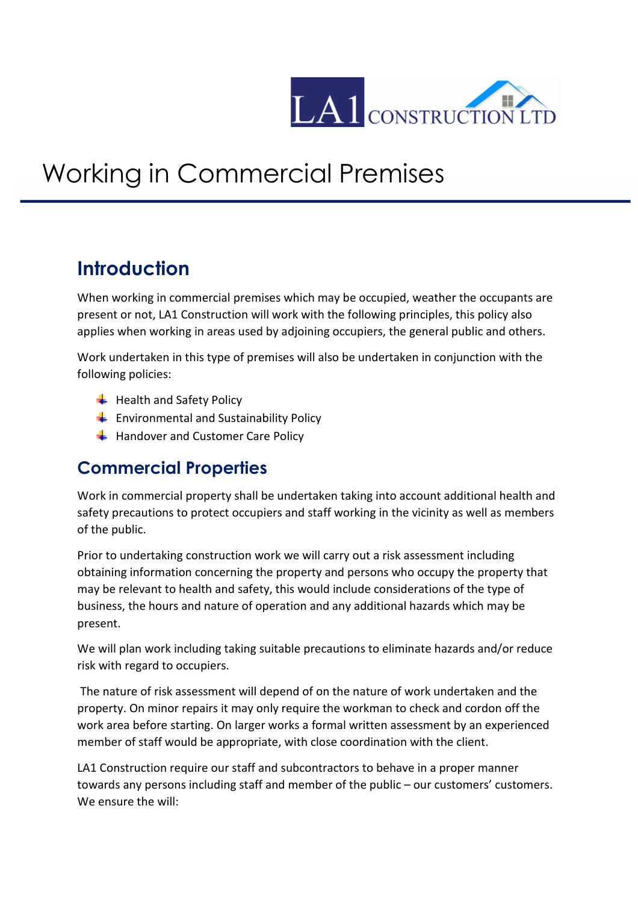

## Working in Commercial Premises

## **Introduction**

When working in commercial premises which may be occupied, weather the occupants are present or not, LA1 Construction will work with the following principles, this policy also applies when working in areas used by adjoining occupiers, the general public and others.

Work undertaken in this type of premises will also be undertaken in conjunction with the following policies:

- $\bigstar$  Health and Safety Policy
- $\leftarrow$  Environmental and Sustainability Policy
- $\bigstar$  Handover and Customer Care Policy

## **Commercial Properties**

Work in commercial property shall be undertaken taking into account additional health and safety precautions to protect occupiers and staff working in the vicinity as well as members of the public.

Prior to undertaking construction work we will carry out a risk assessment including obtaining information concerning the property and persons who occupy the property that may be relevant to health and safety, this would include considerations of the type of business, the hours and nature of operation and any additional hazards which may be present.

We will plan work including taking suitable precautions to eliminate hazards and/or reduce risk with regard to occupiers.

 The nature of risk assessment will depend of on the nature of work undertaken and the property. On minor repairs it may only require the workman to check and cordon off the work area before starting. On larger works a formal written assessment by an experienced member of staff would be appropriate, with close coordination with the client.

LA1 Construction require our staff and subcontractors to behave in a proper manner towards any persons including staff and member of the public – our customers' customers. We ensure the will: